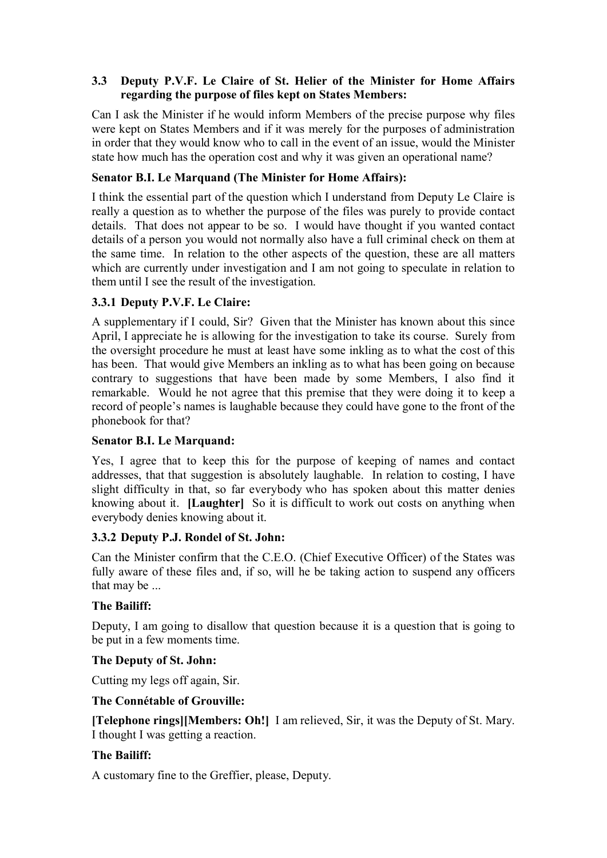## **3.3** � **Deputy P.V.F. Le Claire of St. Helier of the Minister for Home Affairs regarding the purpose of files kept on States Members:**

Can I ask the Minister if he would inform Members of the precise purpose why files were kept on States Members and if it was merely for the purposes of administration in order that they would know who to call in the event of an issue, would the Minister state how much has the operation cost and why it was given an operational name?

## **Senator B.I. Le Marquand (The Minister for Home Affairs):**

I think the essential part of the question which I understand from Deputy Le Claire is really a question as to whether the purpose of the files was purely to provide contact details. That does not appear to be so. I would have thought if you wanted contact details of a person you would not normally also have a full criminal check on them at the same time. In relation to the other aspects of the question, these are all matters which are currently under investigation and I am not going to speculate in relation to them until I see the result of the investigation.

# **3.3.1 Deputy P.V.F. Le Claire:**

A supplementary if I could, Sir? Given that the Minister has known about this since April, I appreciate he is allowing for the investigation to take its course. Surely from the oversight procedure he must at least have some inkling as to what the cost of this has been. That would give Members an inkling as to what has been going on because contrary to suggestions that have been made by some Members, I also find it remarkable. Would he not agree that this premise that they were doing it to keep a record of people's names is laughable because they could have gone to the front of the phonebook for that?

## **Senator B.I. Le Marquand:**

 knowing about it. **[Laughter]** So it is difficult to work out costs on anything when Yes, I agree that to keep this for the purpose of keeping of names and contact addresses, that that suggestion is absolutely laughable. In relation to costing, I have slight difficulty in that, so far everybody who has spoken about this matter denies everybody denies knowing about it.

## **3.3.2 Deputy P.J. Rondel of St. John:**

Can the Minister confirm that the C.E.O. (Chief Executive Officer) of the States was fully aware of these files and, if so, will he be taking action to suspend any officers that may be ...

## **The Bailiff:**

Deputy, I am going to disallow that question because it is a question that is going to be put in a few moments time.

## **The Deputy of St. John:**

Cutting my legs off again, Sir.

#### **The Connétable of Grouville:**

 **[Telephone rings][Members: Oh!]** I am relieved, Sir, it was the Deputy of St. Mary. I thought I was getting a reaction.

## **The Bailiff:**

A customary fine to the Greffier, please, Deputy.